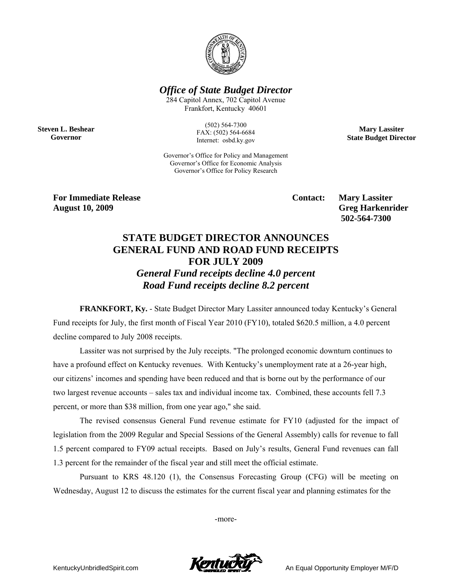

*Office of State Budget Director* 

284 Capitol Annex, 702 Capitol Avenue Frankfort, Kentucky 40601

**Steven L. Beshear Governor** 

(502) 564-7300 FAX: (502) 564-6684 Internet: osbd.ky.gov

Governor's Office for Policy and Management Governor's Office for Economic Analysis Governor's Office for Policy Research

**Mary Lassiter State Budget Director** 

**For Immediate Release Service Service Service Contact: Mary Lassiter August 10, 2009 Greg Harkenrider** 

 **502-564-7300** 

## **STATE BUDGET DIRECTOR ANNOUNCES GENERAL FUND AND ROAD FUND RECEIPTS FOR JULY 2009**  *General Fund receipts decline 4.0 percent Road Fund receipts decline 8.2 percent*

**FRANKFORT, Ky.** - State Budget Director Mary Lassiter announced today Kentucky's General Fund receipts for July, the first month of Fiscal Year 2010 (FY10), totaled \$620.5 million, a 4.0 percent decline compared to July 2008 receipts.

Lassiter was not surprised by the July receipts. "The prolonged economic downturn continues to have a profound effect on Kentucky revenues. With Kentucky's unemployment rate at a 26-year high, our citizens' incomes and spending have been reduced and that is borne out by the performance of our two largest revenue accounts – sales tax and individual income tax. Combined, these accounts fell 7.3 percent, or more than \$38 million, from one year ago," she said.

The revised consensus General Fund revenue estimate for FY10 (adjusted for the impact of legislation from the 2009 Regular and Special Sessions of the General Assembly) calls for revenue to fall 1.5 percent compared to FY09 actual receipts. Based on July's results, General Fund revenues can fall 1.3 percent for the remainder of the fiscal year and still meet the official estimate.

 Pursuant to KRS 48.120 (1), the Consensus Forecasting Group (CFG) will be meeting on Wednesday, August 12 to discuss the estimates for the current fiscal year and planning estimates for the

-more-

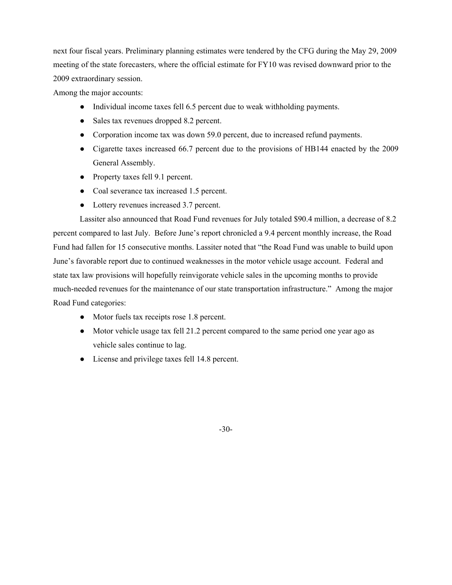next four fiscal years. Preliminary planning estimates were tendered by the CFG during the May 29, 2009 meeting of the state forecasters, where the official estimate for FY10 was revised downward prior to the 2009 extraordinary session.

Among the major accounts:

- Individual income taxes fell 6.5 percent due to weak withholding payments.
- Sales tax revenues dropped 8.2 percent.
- Corporation income tax was down 59.0 percent, due to increased refund payments.
- Cigarette taxes increased 66.7 percent due to the provisions of HB144 enacted by the 2009 General Assembly.
- Property taxes fell 9.1 percent.
- Coal severance tax increased 1.5 percent.
- Lottery revenues increased 3.7 percent.

 Lassiter also announced that Road Fund revenues for July totaled \$90.4 million, a decrease of 8.2 percent compared to last July. Before June's report chronicled a 9.4 percent monthly increase, the Road Fund had fallen for 15 consecutive months. Lassiter noted that "the Road Fund was unable to build upon June's favorable report due to continued weaknesses in the motor vehicle usage account. Federal and state tax law provisions will hopefully reinvigorate vehicle sales in the upcoming months to provide much-needed revenues for the maintenance of our state transportation infrastructure." Among the major Road Fund categories:

- Motor fuels tax receipts rose 1.8 percent.
- Motor vehicle usage tax fell 21.2 percent compared to the same period one year ago as vehicle sales continue to lag.
- License and privilege taxes fell 14.8 percent.

-30-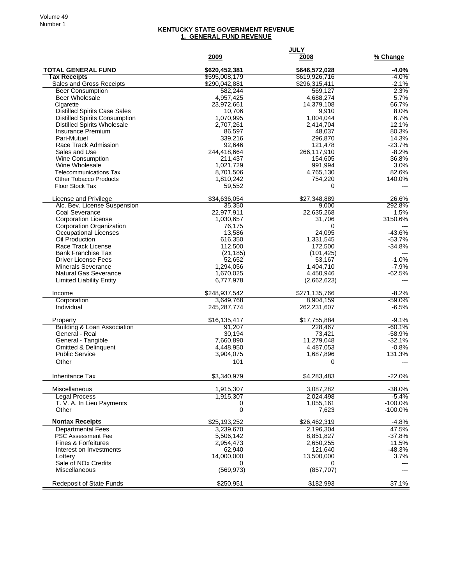## **KENTUCKY STATE GOVERNMENT REVENUE 1. GENERAL FUND REVENUE**

|                                                  | 2009                  | <b>JULY</b><br>2008  | % Change             |
|--------------------------------------------------|-----------------------|----------------------|----------------------|
| <b>TOTAL GENERAL FUND</b>                        | \$620.452.381         | \$646,572,028        | -4.0%                |
| <b>Tax Receipts</b>                              | \$595,008,179         | \$619,926,716        | $-4.0%$              |
| <b>Sales and Gross Receipts</b>                  | \$290,042,881         | \$296,315,411        | -2.1%                |
| <b>Beer Consumption</b><br><b>Beer Wholesale</b> | 582,244<br>4,957,425  | 569,127<br>4,688,274 | 2.3%<br>5.7%         |
| Cigarette                                        | 23,972,661            | 14,379,108           | 66.7%                |
| <b>Distilled Spirits Case Sales</b>              | 10,706                | 9,910                | 8.0%                 |
| <b>Distilled Spirits Consumption</b>             | 1,070,995             | 1,004,044            | 6.7%                 |
| <b>Distilled Spirits Wholesale</b>               | 2,707,261             | 2,414,704            | 12.1%                |
| <b>Insurance Premium</b>                         | 86,597                | 48,037               | 80.3%                |
| Pari-Mutuel<br>Race Track Admission              | 339,216               | 296,870<br>121.478   | 14.3%<br>$-23.7%$    |
| Sales and Use                                    | 92,646<br>244,418,664 | 266,117,910          | $-8.2%$              |
| Wine Consumption                                 | 211,437               | 154,605              | 36.8%                |
| Wine Wholesale                                   | 1,021,729             | 991,994              | 3.0%                 |
| <b>Telecommunications Tax</b>                    | 8,701,506             | 4,765,130            | 82.6%                |
| <b>Other Tobacco Products</b>                    | 1,810,242             | 754,220              | 140.0%               |
| <b>Floor Stock Tax</b>                           | 59,552                | 0                    | $---$                |
| License and Privilege                            | \$34,636,054          | \$27,348,889         | 26.6%                |
| Alc. Bev. License Suspension                     | 35,350                | 9,000                | 292.8%               |
| Coal Severance                                   | 22,977,911            | 22,635,268           | 1.5%                 |
| <b>Corporation License</b>                       | 1,030,657             | 31,706               | 3150.6%              |
| Corporation Organization                         | 76,175                | 0                    |                      |
| Occupational Licenses<br>Oil Production          | 13,586<br>616,350     | 24,095<br>1,331,545  | $-43.6%$<br>$-53.7%$ |
| Race Track License                               | 112,500               | 172,500              | $-34.8%$             |
| <b>Bank Franchise Tax</b>                        | (21, 185)             | (101, 425)           |                      |
| Driver License Fees                              | 52,652                | 53,167               | $-1.0%$              |
| <b>Minerals Severance</b>                        | 1,294,056             | 1,404,710            | $-7.9%$              |
| <b>Natural Gas Severance</b>                     | 1,670,025             | 4,450,946            | $-62.5%$             |
| <b>Limited Liability Entity</b>                  | 6,777,978             | (2,662,623)          |                      |
| Income                                           | \$248,937,542         | \$271,135,766        | $-8.2%$              |
| Corporation                                      | 3,649,768             | 8,904,159            | $-59.0%$             |
| Individual                                       | 245,287,774           | 262,231,607          | $-6.5%$              |
| Property                                         | \$16,135,417          | \$17,755,884         | $-9.1%$              |
| <b>Building &amp; Loan Association</b>           | 91,207                | 228,467              | -60.1%               |
| General - Real                                   | 30.194                | 73,421               | $-58.9%$             |
| General - Tangible                               | 7,660,890             | 11,279,048           | $-32.1%$             |
| Omitted & Delinquent                             | 4,448,950             | 4,487,053            | $-0.8%$              |
| <b>Public Service</b>                            | 3,904,075             | 1,687,896            | 131.3%               |
| Other                                            | 101                   | 0                    |                      |
| Inheritance Tax                                  | \$3,340,979           | \$4,283,483          | $-22.0%$             |
| Miscellaneous                                    | 1,915,307             | 3,087,282            | $-38.0%$             |
| <b>Legal Process</b>                             | 1,915,307             | 2,024,498            | $-5.4%$              |
| T. V. A. In Lieu Payments                        | 0                     | 1,055,161            | $-100.0%$            |
| Other                                            | 0                     | 7,623                | $-100.0%$            |
| <b>Nontax Receipts</b>                           | \$25,193,252          | \$26,462,319         | $-4.8%$              |
| <b>Departmental Fees</b>                         | 3,239,670             | 2,196,304            | 47.5%                |
| <b>PSC Assessment Fee</b>                        | 5,506,142             | 8,851,827            | $-37.8%$             |
| <b>Fines &amp; Forfeitures</b>                   | 2,954,473             | 2,650,255            | 11.5%                |
| Interest on Investments                          | 62,940                | 121,640              | $-48.3%$<br>3.7%     |
| Lottery<br>Sale of NO <sub>x</sub> Credits       | 14,000,000<br>0       | 13,500,000<br>0      |                      |
| Miscellaneous                                    | (569, 973)            | (857, 707)           |                      |
| <b>Redeposit of State Funds</b>                  | \$250,951             | \$182,993            | 37.1%                |